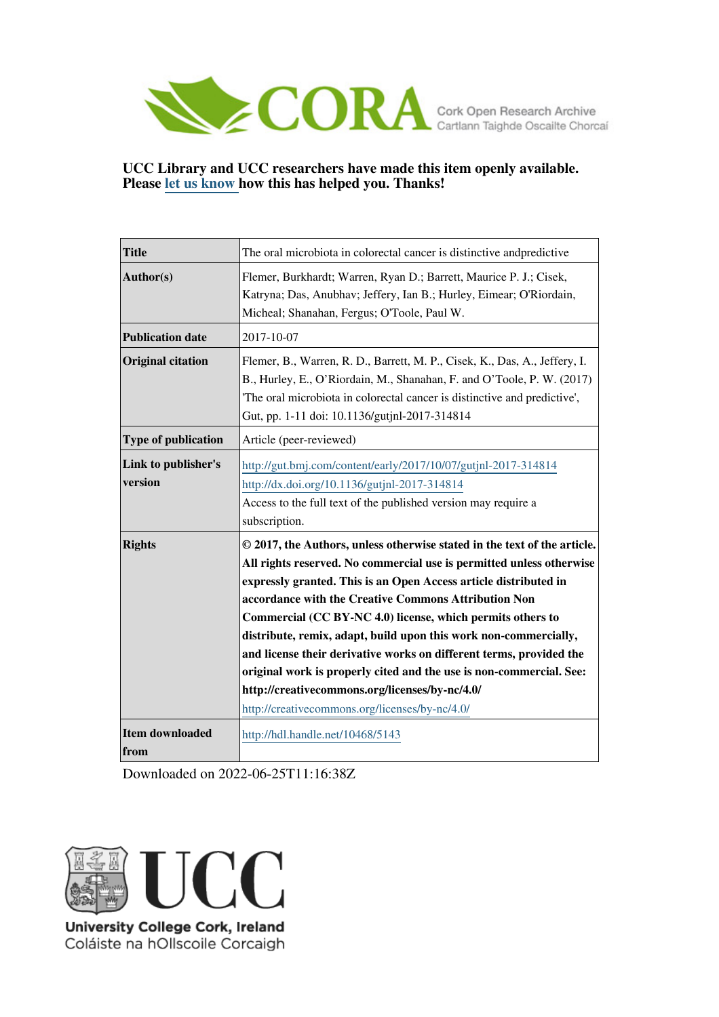

## **UCC Library and UCC researchers have made this item openly available. Please [let us know h](https://libguides.ucc.ie/openaccess/impact?suffix=5143&title=The oral microbiota in colorectal cancer is distinctive andpredictive)ow this has helped you. Thanks!**

| <b>Title</b>                   | The oral microbiota in colorectal cancer is distinctive and predictive                                                                                                                                                                                                                                                                                                                                                                                                                                                                                                                                                                                           |
|--------------------------------|------------------------------------------------------------------------------------------------------------------------------------------------------------------------------------------------------------------------------------------------------------------------------------------------------------------------------------------------------------------------------------------------------------------------------------------------------------------------------------------------------------------------------------------------------------------------------------------------------------------------------------------------------------------|
| Author(s)                      | Flemer, Burkhardt; Warren, Ryan D.; Barrett, Maurice P. J.; Cisek,<br>Katryna; Das, Anubhav; Jeffery, Ian B.; Hurley, Eimear; O'Riordain,<br>Micheal; Shanahan, Fergus; O'Toole, Paul W.                                                                                                                                                                                                                                                                                                                                                                                                                                                                         |
| <b>Publication date</b>        | 2017-10-07                                                                                                                                                                                                                                                                                                                                                                                                                                                                                                                                                                                                                                                       |
| <b>Original citation</b>       | Flemer, B., Warren, R. D., Barrett, M. P., Cisek, K., Das, A., Jeffery, I.<br>B., Hurley, E., O'Riordain, M., Shanahan, F. and O'Toole, P. W. (2017)<br>The oral microbiota in colorectal cancer is distinctive and predictive',<br>Gut, pp. 1-11 doi: 10.1136/gutjnl-2017-314814                                                                                                                                                                                                                                                                                                                                                                                |
| Type of publication            | Article (peer-reviewed)                                                                                                                                                                                                                                                                                                                                                                                                                                                                                                                                                                                                                                          |
| Link to publisher's<br>version | http://gut.bmj.com/content/early/2017/10/07/gutjnl-2017-314814<br>http://dx.doi.org/10.1136/gutjnl-2017-314814<br>Access to the full text of the published version may require a<br>subscription.                                                                                                                                                                                                                                                                                                                                                                                                                                                                |
| <b>Rights</b>                  | © 2017, the Authors, unless otherwise stated in the text of the article.<br>All rights reserved. No commercial use is permitted unless otherwise<br>expressly granted. This is an Open Access article distributed in<br>accordance with the Creative Commons Attribution Non<br>Commercial (CC BY-NC 4.0) license, which permits others to<br>distribute, remix, adapt, build upon this work non-commercially,<br>and license their derivative works on different terms, provided the<br>original work is properly cited and the use is non-commercial. See:<br>http://creativecommons.org/licenses/by-nc/4.0/<br>http://creativecommons.org/licenses/by-nc/4.0/ |
| Item downloaded<br>from        | http://hdl.handle.net/10468/5143                                                                                                                                                                                                                                                                                                                                                                                                                                                                                                                                                                                                                                 |

Downloaded on 2022-06-25T11:16:38Z



Coláiste na hOllscoile Corcaigh